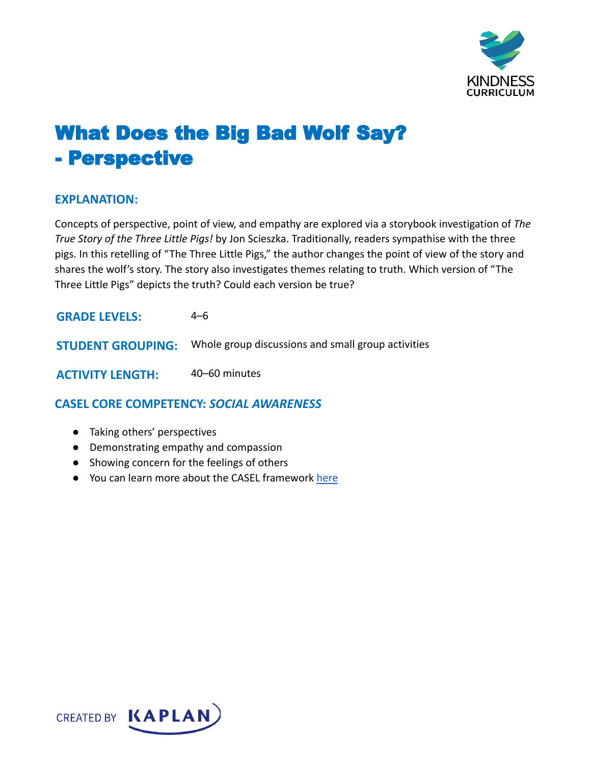

## What Does the Big Bad Wolf Say? - Perspective

## **EXPLANATION:**

Concepts of perspective, point of view, and empathy are explored via a storybook investigation of *The True Story of the Three Little Pigs!* by Jon Scieszka. Traditionally, readers sympathise with the three pigs. In this retelling of "The Three Little Pigs," the author changes the point of view of the story and shares the wolf's story. The story also investigates themes relating to truth. Which version of "The Three Little Pigs" depicts the truth? Could each version be true?

| <b>GRADE LEVELS:</b> | 4–6                                                                         |
|----------------------|-----------------------------------------------------------------------------|
|                      | <b>STUDENT GROUPING:</b> Whole group discussions and small group activities |
|                      |                                                                             |

**ACTIVITY LENGTH:** 40–60 minutes

**CASEL CORE COMPETENCY:** *SOCIAL AWARENESS*

- Taking others' perspectives
- Demonstrating empathy and compassion
- Showing concern for the feelings of others
- You can learn more about the CASEL framework [here](https://casel.org/sel-framework/)

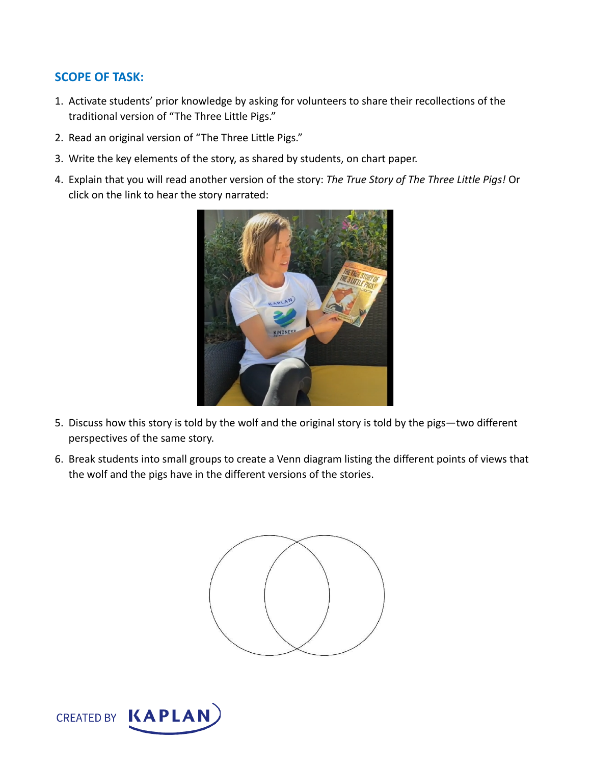## **SCOPE OF TASK:**

- 1. Activate students' prior knowledge by asking for volunteers to share their recollections of the traditional version of "The Three Little Pigs."
- 2. Read an original version of "The Three Little Pigs."
- 3. Write the key elements of the story, as shared by students, on chart paper.
- 4. Explain that you will read another version of the story: *The True Story of The Three Little Pigs!* Or click on the link to hear the story narrated:



- 5. Discuss how this story is told by the wolf and the original story is told by the pigs—two different perspectives of the same story.
- 6. Break students into small groups to create a Venn diagram listing the different points of views that the wolf and the pigs have in the different versions of the stories.